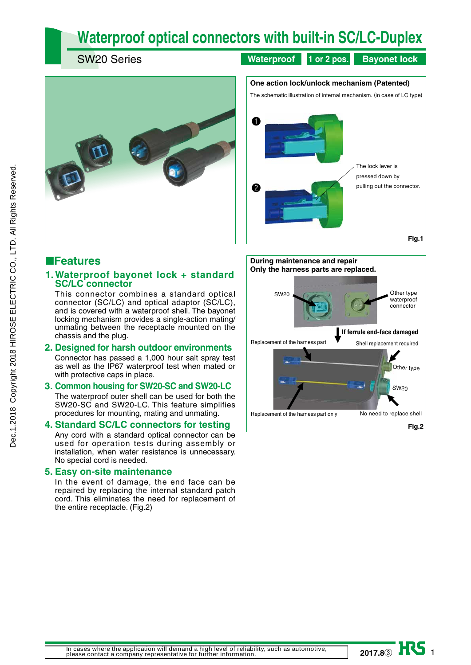# **Waterproof optical connectors with built-in SC/LC-Duplex**

SW20 Series

**Waterproof 1 or 2 pos. Bayonet lock**





### ■**Features**

### **1. Waterproof bayonet lock + standard SC/LC connector**

This connector combines a standard optical connector (SC/LC) and optical adaptor  $(S\dot{C}/LC)$ , and is covered with a waterproof shell. The bayonet locking mechanism provides a single-action mating/ unmating between the receptacle mounted on the chassis and the plug.

### **2. Designed for harsh outdoor environments**

Connector has passed a 1,000 hour salt spray test as well as the IP67 waterproof test when mated or with protective caps in place.

#### **3. Common housing for SW20-SC and SW20-LC**

The waterproof outer shell can be used for both the SW20-SC and SW20-LC. This feature simplifies procedures for mounting, mating and unmating.

### **4. Standard SC/LC connectors for testing**

Any cord with a standard optical connector can be used for operation tests during assembly or installation, when water resistance is unnecessary. No special cord is needed.

#### **5. Easy on-site maintenance**

In the event of damage, the end face can be repaired by replacing the internal standard patch cord. This eliminates the need for replacement of the entire receptacle. (Fig.2)



**2017.8**③ HS 1

**In cases where the application will demand a high level of reliability, such as automotive, please contact a company representative for further information.**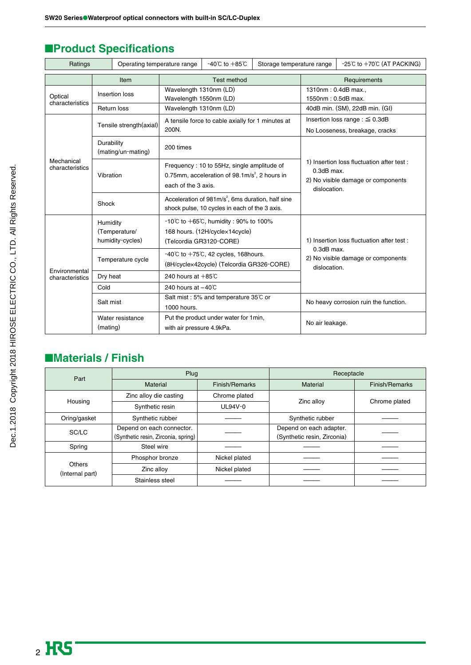| Ratings                                      |                                               | Operating temperature range                                                                                                    |                                                       | $-40^{\circ}$ C to $+85^{\circ}$ C                                                                                  | Storage temperature range |                                                                  | $-25^{\circ}$ C to $+70^{\circ}$ C (AT PACKING) |
|----------------------------------------------|-----------------------------------------------|--------------------------------------------------------------------------------------------------------------------------------|-------------------------------------------------------|---------------------------------------------------------------------------------------------------------------------|---------------------------|------------------------------------------------------------------|-------------------------------------------------|
|                                              |                                               | Item                                                                                                                           |                                                       | <b>Test method</b>                                                                                                  |                           | Requirements                                                     |                                                 |
| Optical                                      |                                               | Insertion loss                                                                                                                 | Wavelength 1310nm (LD)                                |                                                                                                                     |                           | 1310nm: 0.4dB max.,                                              |                                                 |
| characteristics                              |                                               |                                                                                                                                | Wavelength 1550nm (LD)                                |                                                                                                                     |                           | 1550nm: 0.5dB max.                                               | 40dB min. (SM), 22dB min. (GI)                  |
| Return loss<br>Tensile strength(axial)       |                                               | Wavelength 1310nm (LD)<br>A tensile force to cable axially for 1 minutes at<br>200N.                                           |                                                       | Insertion loss range : $\leq$ 0.3dB<br>No Looseness, breakage, cracks                                               |                           |                                                                  |                                                 |
|                                              | Durability                                    | (mating/un-mating)                                                                                                             | 200 times                                             |                                                                                                                     |                           |                                                                  |                                                 |
| Mechanical<br>characteristics<br>Vibration   |                                               | Frequency: 10 to 55Hz, single amplitude of<br>0.75mm, acceleration of 98.1m/s <sup>2</sup> , 2 hours in<br>each of the 3 axis. |                                                       | 1) Insertion loss fluctuation after test:<br>$0.3$ d $B$ max.<br>2) No visible damage or components<br>dislocation. |                           |                                                                  |                                                 |
| Shock                                        |                                               | Acceleration of 981m/s <sup>2</sup> , 6ms duration, half sine<br>shock pulse, 10 cycles in each of the 3 axis.                 |                                                       |                                                                                                                     |                           |                                                                  |                                                 |
|                                              | Humidity<br>(Temperature/<br>humidity-cycles) |                                                                                                                                |                                                       | -10°C to +65°C, humidity : 90% to 100%<br>168 hours. (12H/cyclex14cycle)<br>(Telcordia GR3120-CORE)                 |                           | 1) Insertion loss fluctuation after test:                        |                                                 |
|                                              | Temperature cycle                             |                                                                                                                                |                                                       | $-40^{\circ}$ C to $+75^{\circ}$ C, 42 cycles, 168 hours.<br>(8H/cyclex42cycle) (Telcordia GR326-CORE)              |                           | 0.3dB max.<br>2) No visible damage or components<br>dislocation. |                                                 |
| Environmental<br>Dry heat<br>characteristics |                                               | 240 hours at $+85^\circ$ C                                                                                                     |                                                       |                                                                                                                     |                           |                                                                  |                                                 |
| Cold                                         |                                               | 240 hours at $-40^{\circ}$ C                                                                                                   |                                                       |                                                                                                                     |                           |                                                                  |                                                 |
|                                              | Salt mist                                     |                                                                                                                                | Salt mist : 5% and temperature 35°C or<br>1000 hours. |                                                                                                                     |                           |                                                                  | No heavy corrosion ruin the function.           |
| Water resistance<br>(mating)                 |                                               | with air pressure 4.9kPa.                                                                                                      | Put the product under water for 1min,                 |                                                                                                                     | No air leakage.           |                                                                  |                                                 |

## ■**Product Specifications**

## ■**Materials / Finish**

| Part                      | Plug                                |               | Receptacle                  |                |  |
|---------------------------|-------------------------------------|---------------|-----------------------------|----------------|--|
|                           | Material<br>Finish/Remarks          |               | Material                    | Finish/Remarks |  |
| Housing                   | Zinc alloy die casting              | Chrome plated | Zinc alloy                  |                |  |
|                           | Synthetic resin                     | $UL94V-0$     |                             | Chrome plated  |  |
| Oring/gasket              | Synthetic rubber                    |               | Synthetic rubber            |                |  |
| SC/LC                     | Depend on each connector.           |               | Depend on each adapter.     |                |  |
|                           | (Synthetic resin, Zirconia, spring) |               | (Synthetic resin, Zirconia) |                |  |
| Spring                    | Steel wire                          |               |                             |                |  |
|                           | Phosphor bronze                     | Nickel plated |                             |                |  |
| Others<br>(Internal part) | Zinc alloy                          | Nickel plated |                             |                |  |
|                           | Stainless steel                     |               |                             |                |  |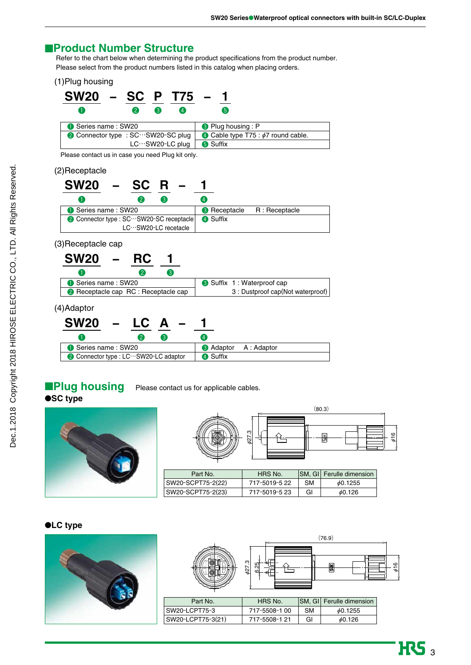### ■**Product Number Structure**

Refer to the chart below when determining the product specifications from the product number. Please select from the product numbers listed in this catalog when placing orders.

(1)Plug housing

| SW20 – SC P T75 –                  |    |    |                 |                 |     |                           |                                          |  |
|------------------------------------|----|----|-----------------|-----------------|-----|---------------------------|------------------------------------------|--|
|                                    | 21 | 3) | 4)              |                 | (5) |                           |                                          |  |
| Series name: SW20                  |    |    |                 |                 |     | <b>3</b> Plug housing : P |                                          |  |
| ● Connector type : SC…SW20-SC plug |    |    |                 |                 |     |                           | • Cable type T75 : $\phi$ 7 round cable. |  |
|                                    |    |    | LC…SW20-LC plug | <b>6</b> Suffix |     |                           |                                          |  |

Please contact us in case you need Plug kit only.

#### (2)Receptacle

| <b>SW20</b>                            | $SC R -$<br>$\sim$ $ \sim$ |          |                                   |
|----------------------------------------|----------------------------|----------|-----------------------------------|
|                                        | 3                          | 4        |                                   |
| Series name: SW20                      |                            |          | <b>C</b> Receptacle R: Receptacle |
| Connector type : SC…SW20-SC receptacle |                            | 4 Suffix |                                   |
|                                        | LC…SW20-LC recetacle       |          |                                   |

### (3)Receptacle cap



### (4)Adaptor

| <b>SW20</b><br>$\sim$ $ -$ | $LC A -$                            |                             |  |
|----------------------------|-------------------------------------|-----------------------------|--|
|                            |                                     |                             |  |
| Series name: SW20          |                                     | <b>3</b> Adaptor A: Adaptor |  |
|                            | Connector type : LC…SW20-LC adaptor | 4 Suffix                    |  |

**IPlug housing** Please contact us for applicable cables.

### ●**SC type**



|                   | 627.3         |           | (80.3)<br>볾       | 616 |
|-------------------|---------------|-----------|-------------------|-----|
| Part No.          | HRS No.       | SM, GI    | Ferulle dimension |     |
| SW20-SCPT75-2(22) | 717-5019-5 22 | <b>SM</b> | $\phi$ 0.1255     |     |
| SW20-SCPT75-2(23) | 717-5019-5 23 | Gl        | 60.126            |     |

#### ●**LC type**



|         |                                        | (76.9)                 |         |
|---------|----------------------------------------|------------------------|---------|
|         | က္<br>−<br>ഥ<br>427<br>ᠭ<br>$\epsilon$ | ā                      | o<br>Ð. |
| Part No | HRS No                                 | SM GI Ferule dimension |         |

| Part No.          | HRS No.       |    | <b>SM, GI</b> Ferulle dimension |
|-------------------|---------------|----|---------------------------------|
| SW20-LCPT75-3     | 717-5508-1 00 | SМ | 60.1255                         |
| SW20-LCPT75-3(21) | 717-5508-1 21 | GI | 60.126                          |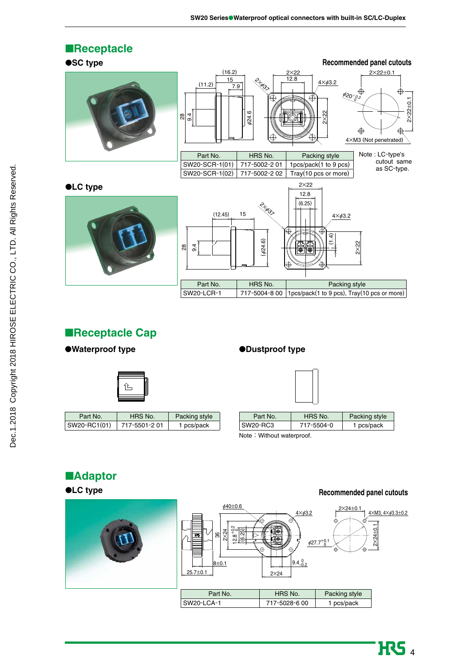

## ■**Receptacle Cap**

### ●**Waterproof type** ●**Dustproof type**



| Part No.     | HRS No.      | Packing style |
|--------------|--------------|---------------|
| SW20-RC1(01) | 717-5501-201 | 1 pcs/pack    |



| Part No. | HRS No.    | Packing style |
|----------|------------|---------------|
| SW20-RC3 | 717-5504-0 | 1 pcs/pack    |
|          |            |               |

#### Note: Without waterproof.

## ■**Adaptor**

### ●**LC type**



**Recommended panel cutouts**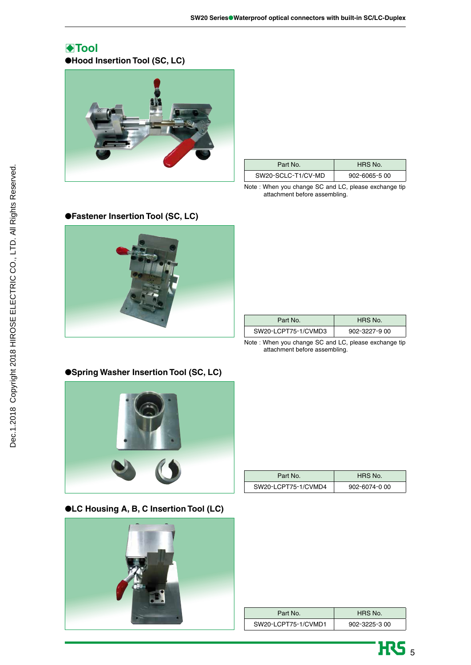## B**Tool**

●**Hood Insertion Tool (SC, LC)**



| Part No.           | HRS No.            |
|--------------------|--------------------|
| SW20-SCLC-T1/CV-MD | $902 - 6065 - 500$ |

Note : When you change SC and LC, please exchange tip attachment before assembling.



| Part No.            | HRS No.            |
|---------------------|--------------------|
| SW20-LCPT75-1/CVMD3 | $902 - 3227 - 900$ |

Note : When you change SC and LC, please exchange tip attachment before assembling.



| Part No.            | HRS No.       |
|---------------------|---------------|
| SW20-LCPT75-1/CVMD4 | 902-6074-0 00 |

### ●**LC Housing A, B, C Insertion Tool (LC)**



| Part No.            | HRS No.            |
|---------------------|--------------------|
| SW20-LCPT75-1/CVMD1 | $902 - 3225 - 300$ |



## ●**Fastener Insertion Tool (SC, LC)**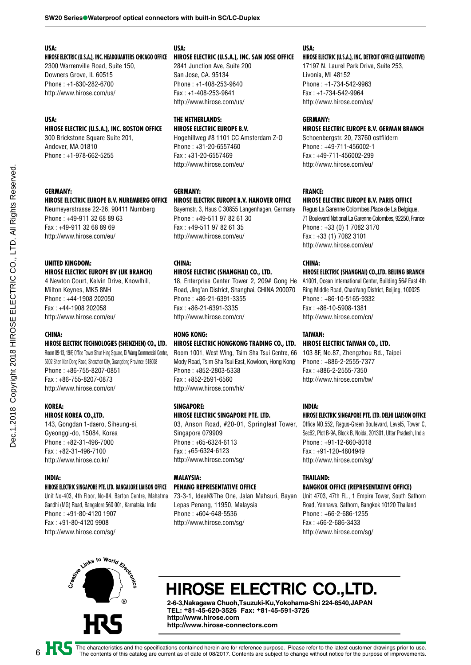#### **USA:**

**HIROSE ELECTRIC (U.S.A.), INC. HEADQUARTERS CHICAGO OFFICE** 2300 Warrenville Road, Suite 150, Downers Grove, IL 60515 Phone : +1-630-282-6700

#### **USA:**

### **HIROSE ELECTRIC (U.S.A.), INC. BOSTON OFFICE**

300 Brickstone Square Suite 201, Andover, MA 01810 Phone : +1-978-662-5255

http://www.hirose.com/us/

#### **GERMANY:**

#### **HIROSE ELECTRIC EUROPE B.V. NUREMBERG OFFICE**

Neumeyerstrasse 22-26, 90411 Nurnberg Phone : +49-911 32 68 89 63 Fax : +49-911 32 68 89 69 http://www.hirose.com/eu/

#### **UNITED KINGDOM: HIROSE ELECTRIC EUROPE BV (UK BRANCH)**

4 Newton Court, Kelvin Drive, Knowlhill, Milton Keynes, MK5 8NH Phone : +44-1908 202050 Fax : +44-1908 202058 http://www.hirose.com/eu/

### **CHINA:**

#### **HIROSE ELECTRIC TECHNOLOGIES (SHENZHEN) CO., LTD.**

Room 09-13, 19/F, Office Tower Shun Hing Square, Di Wang Commercial Centre, 5002 Shen Nan Dong Road, Shenzhen City, Guangdong Province, 518008 Phone : +86-755-8207-0851 Fax : +86-755-8207-0873 http://www.hirose.com/cn/

#### **KOREA:**

#### **HIROSE KOREA CO.,LTD.**

143, Gongdan 1-daero, Siheung-si, Gyeonggi-do, 15084, Korea Phone : +82-31-496-7000 Fax : +82-31-496-7100 http://www.hirose.co.kr/

#### **INDIA:**

6

#### **HIROSE ELECTRIC SINGAPORE PTE. LTD. BANGALORE LIAISON OFFICE**

Unit No-403, 4th Floor, No-84, Barton Centre, Mahatma Gandhi (MG) Road, Bangalore 560 001, Karnataka, India Phone : +91-80-4120 1907 Fax : +91-80-4120 9908 http://www.hirose.com/sg/

### **USA:**

#### **HIROSE ELECTRIC (U.S.A.), INC. SAN JOSE OFFICE**

2841 Junction Ave, Suite 200 San Jose, CA. 95134 Phone : +1-408-253-9640 Fax : +1-408-253-9641 http://www.hirose.com/us/

#### **THE NETHERLANDS: HIROSE ELECTRIC EUROPE B.V.**

Hogehillweg #8 1101 CC Amsterdam Z-O Phone : +31-20-6557460 Fax : +31-20-6557469 http://www.hirose.com/eu/

#### **GERMANY:**

#### **HIROSE ELECTRIC EUROPE B.V. HANOVER OFFICE**

Bayernstr. 3, Haus C 30855 Langenhagen, Germany Phone : +49-511 97 82 61 30 Fax : +49-511 97 82 61 35 http://www.hirose.com/eu/

#### **CHINA:**

#### **HIROSE ELECTRIC (SHANGHAI) CO., LTD.**

18, Enterprise Center Tower 2, 209# Gong He Road, Jing'an District, Shanghai, CHINA 200070 Phone : +86-21-6391-3355 Fax : +86-21-6391-3335 http://www.hirose.com/cn/

### **HONG KONG:**

### **HIROSE ELECTRIC HONGKONG TRADING CO., LTD.**

Room 1001, West Wing, Tsim Sha Tsui Centre, 66 Mody Road, Tsim Sha Tsui East, Kowloon, Hong Kong Phone : +852-2803-5338 Fax : +852-2591-6560 http://www.hirose.com/hk/

### **SINGAPORE:**

#### **HIROSE ELECTRIC SINGAPORE PTE. LTD.**

03, Anson Road, #20-01, Springleaf Tower, Singapore 079909 Phone : +65-6324-6113 Fax : +65-6324-6123 http://www.hirose.com/sg/

#### **MALAYSIA: PENANG REPRESENTATIVE OFFICE**

73-3-1, Ideal@The One, Jalan Mahsuri, Bayan Lepas Penang, 11950, Malaysia Phone : +604-648-5536 http://www.hirose.com/sg/

#### **USA:**

#### **HIROSE ELECTRIC (U.S.A.), INC. DETROIT OFFICE (AUTOMOTIVE)**

17197 N. Laurel Park Drive, Suite 253, Livonia, MI 48152 Phone : +1-734-542-9963 Fax : +1-734-542-9964 http://www.hirose.com/us/

#### **GERMANY:**

#### **HIROSE ELECTRIC EUROPE B.V. GERMAN BRANCH**

Schoenbergstr. 20, 73760 ostfildern Phone : +49-711-456002-1 Fax : +49-711-456002-299 http://www.hirose.com/eu/

#### **FRANCE:**

#### **HIROSE ELECTRIC EUROPE B.V. PARIS OFFICE**

Regus La Garenne Colombes,Place de La Belgique, 71 Boulevard National La Garenne Colombes, 92250, France Phone : +33 (0) 1 7082 3170 Fax : +33 (1) 7082 3101 http://www.hirose.com/eu/

#### **CHINA:**

#### **HIROSE ELECTRIC (SHANGHAI) CO.,LTD. BEIJING BRANCH**

A1001, Ocean International Center, Building 56# East 4th Ring Middle Road, ChaoYang District, Beijing, 100025 Phone : +86-10-5165-9332 Fax : +86-10-5908-1381 http://www.hirose.com/cn/

#### **TAIWAN:**

### **HIROSE ELECTRIC TAIWAN CO., LTD.**

103 8F, No.87, Zhengzhou Rd., Taipei Phone : +886-2-2555-7377 Fax : +886-2-2555-7350 http://www.hirose.com/tw/

#### **INDIA:**

#### **HIROSE ELECTRIC SINGAPORE PTE. LTD. DELHI LIAISON OFFICE**

Office NO.552, Regus-Green Boulevard, Level5, Tower C, Sec62, Plot B-9A, Block B, Noida, 201301, Uttar Pradesh, India Phone : +91-12-660-8018 Fax : +91-120-4804949 http://www.hirose.com/sg/

#### **THAILAND:**

#### **BANGKOK OFFICE (REPRESENTATIVE OFFICE)**

Unit 4703, 47th FL., 1 Empire Tower, South Sathorn Road, Yannawa, Sathorn, Bangkok 10120 Thailand Phone : +66-2-686-1255 Fax : +66-2-686-3433 http://www.hirose.com/sg/



# HIROSE ELECTRIC CO.,LTD.

**2-6-3,Nakagawa Chuoh,Tsuzuki-Ku,Yokohama-Shi 224-8540,JAPAN TEL: +81-45-620-3526 Fax: +81-45-591-3726 http://www.hirose.com http://www.hirose-connectors.com**